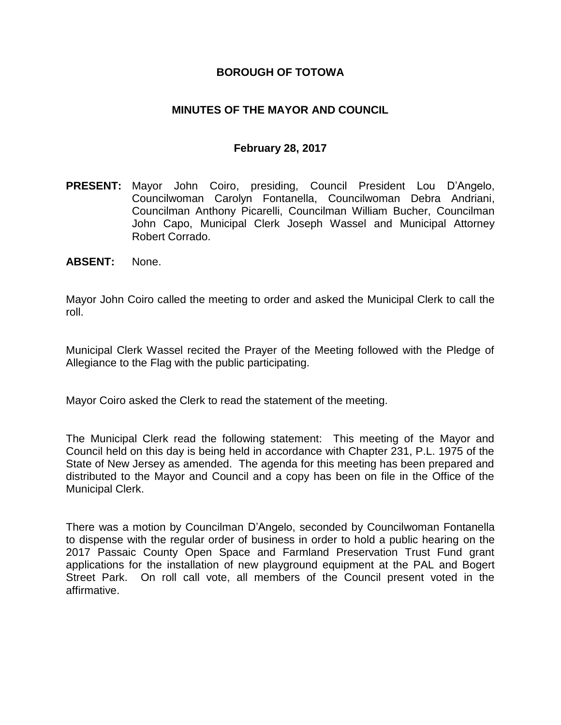### **BOROUGH OF TOTOWA**

#### **MINUTES OF THE MAYOR AND COUNCIL**

#### **February 28, 2017**

- **PRESENT:** Mayor John Coiro, presiding, Council President Lou D'Angelo, Councilwoman Carolyn Fontanella, Councilwoman Debra Andriani, Councilman Anthony Picarelli, Councilman William Bucher, Councilman John Capo, Municipal Clerk Joseph Wassel and Municipal Attorney Robert Corrado.
- **ABSENT:** None.

Mayor John Coiro called the meeting to order and asked the Municipal Clerk to call the roll.

Municipal Clerk Wassel recited the Prayer of the Meeting followed with the Pledge of Allegiance to the Flag with the public participating.

Mayor Coiro asked the Clerk to read the statement of the meeting.

The Municipal Clerk read the following statement: This meeting of the Mayor and Council held on this day is being held in accordance with Chapter 231, P.L. 1975 of the State of New Jersey as amended. The agenda for this meeting has been prepared and distributed to the Mayor and Council and a copy has been on file in the Office of the Municipal Clerk.

There was a motion by Councilman D'Angelo, seconded by Councilwoman Fontanella to dispense with the regular order of business in order to hold a public hearing on the 2017 Passaic County Open Space and Farmland Preservation Trust Fund grant applications for the installation of new playground equipment at the PAL and Bogert Street Park. On roll call vote, all members of the Council present voted in the affirmative.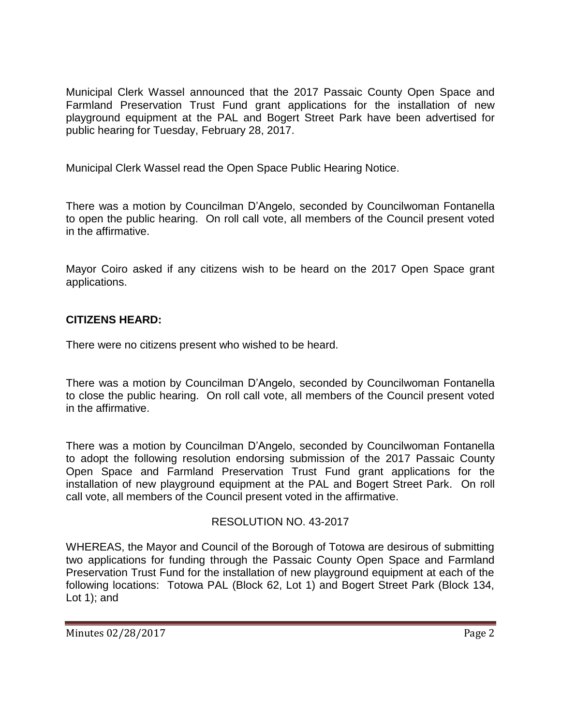Municipal Clerk Wassel announced that the 2017 Passaic County Open Space and Farmland Preservation Trust Fund grant applications for the installation of new playground equipment at the PAL and Bogert Street Park have been advertised for public hearing for Tuesday, February 28, 2017.

Municipal Clerk Wassel read the Open Space Public Hearing Notice.

There was a motion by Councilman D'Angelo, seconded by Councilwoman Fontanella to open the public hearing. On roll call vote, all members of the Council present voted in the affirmative.

Mayor Coiro asked if any citizens wish to be heard on the 2017 Open Space grant applications.

# **CITIZENS HEARD:**

There were no citizens present who wished to be heard.

There was a motion by Councilman D'Angelo, seconded by Councilwoman Fontanella to close the public hearing. On roll call vote, all members of the Council present voted in the affirmative.

There was a motion by Councilman D'Angelo, seconded by Councilwoman Fontanella to adopt the following resolution endorsing submission of the 2017 Passaic County Open Space and Farmland Preservation Trust Fund grant applications for the installation of new playground equipment at the PAL and Bogert Street Park. On roll call vote, all members of the Council present voted in the affirmative.

## RESOLUTION NO. 43-2017

WHEREAS, the Mayor and Council of the Borough of Totowa are desirous of submitting two applications for funding through the Passaic County Open Space and Farmland Preservation Trust Fund for the installation of new playground equipment at each of the following locations: Totowa PAL (Block 62, Lot 1) and Bogert Street Park (Block 134, Lot 1); and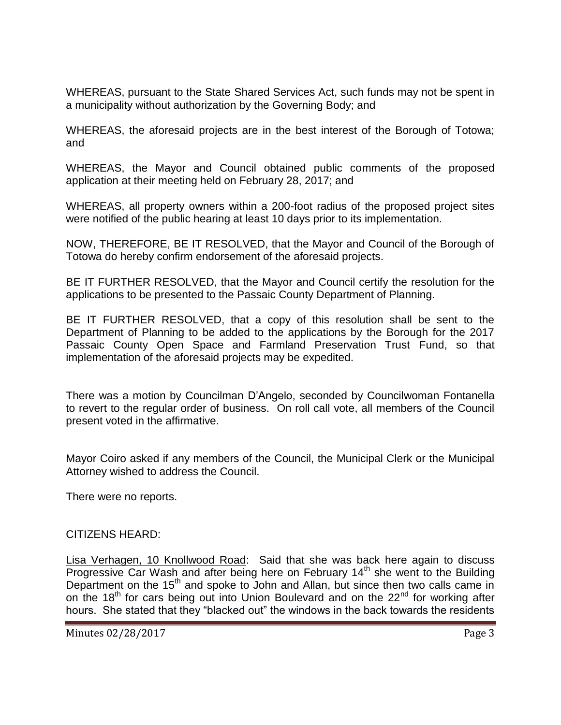WHEREAS, pursuant to the State Shared Services Act, such funds may not be spent in a municipality without authorization by the Governing Body; and

WHEREAS, the aforesaid projects are in the best interest of the Borough of Totowa; and

WHEREAS, the Mayor and Council obtained public comments of the proposed application at their meeting held on February 28, 2017; and

WHEREAS, all property owners within a 200-foot radius of the proposed project sites were notified of the public hearing at least 10 days prior to its implementation.

NOW, THEREFORE, BE IT RESOLVED, that the Mayor and Council of the Borough of Totowa do hereby confirm endorsement of the aforesaid projects.

BE IT FURTHER RESOLVED, that the Mayor and Council certify the resolution for the applications to be presented to the Passaic County Department of Planning.

BE IT FURTHER RESOLVED, that a copy of this resolution shall be sent to the Department of Planning to be added to the applications by the Borough for the 2017 Passaic County Open Space and Farmland Preservation Trust Fund, so that implementation of the aforesaid projects may be expedited.

There was a motion by Councilman D'Angelo, seconded by Councilwoman Fontanella to revert to the regular order of business. On roll call vote, all members of the Council present voted in the affirmative.

Mayor Coiro asked if any members of the Council, the Municipal Clerk or the Municipal Attorney wished to address the Council.

There were no reports.

#### CITIZENS HEARD:

Lisa Verhagen, 10 Knollwood Road: Said that she was back here again to discuss Progressive Car Wash and after being here on February 14<sup>th</sup> she went to the Building Department on the 15<sup>th</sup> and spoke to John and Allan, but since then two calls came in on the 18<sup>th</sup> for cars being out into Union Boulevard and on the  $22<sup>nd</sup>$  for working after hours. She stated that they "blacked out" the windows in the back towards the residents

Minutes 02/28/2017 Page 3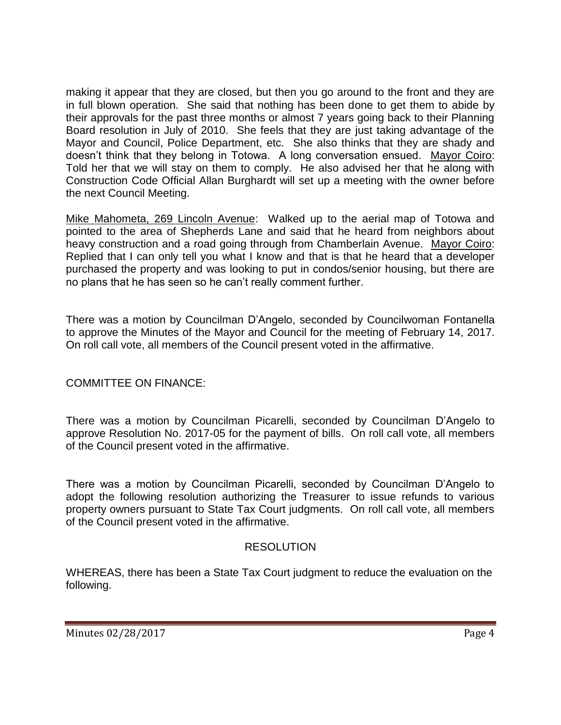making it appear that they are closed, but then you go around to the front and they are in full blown operation. She said that nothing has been done to get them to abide by their approvals for the past three months or almost 7 years going back to their Planning Board resolution in July of 2010. She feels that they are just taking advantage of the Mayor and Council, Police Department, etc. She also thinks that they are shady and doesn't think that they belong in Totowa. A long conversation ensued. Mayor Coiro: Told her that we will stay on them to comply. He also advised her that he along with Construction Code Official Allan Burghardt will set up a meeting with the owner before the next Council Meeting.

Mike Mahometa, 269 Lincoln Avenue: Walked up to the aerial map of Totowa and pointed to the area of Shepherds Lane and said that he heard from neighbors about heavy construction and a road going through from Chamberlain Avenue. Mayor Coiro: Replied that I can only tell you what I know and that is that he heard that a developer purchased the property and was looking to put in condos/senior housing, but there are no plans that he has seen so he can't really comment further.

There was a motion by Councilman D'Angelo, seconded by Councilwoman Fontanella to approve the Minutes of the Mayor and Council for the meeting of February 14, 2017. On roll call vote, all members of the Council present voted in the affirmative.

COMMITTEE ON FINANCE:

There was a motion by Councilman Picarelli, seconded by Councilman D'Angelo to approve Resolution No. 2017-05 for the payment of bills. On roll call vote, all members of the Council present voted in the affirmative.

There was a motion by Councilman Picarelli, seconded by Councilman D'Angelo to adopt the following resolution authorizing the Treasurer to issue refunds to various property owners pursuant to State Tax Court judgments. On roll call vote, all members of the Council present voted in the affirmative.

## RESOLUTION

WHEREAS, there has been a State Tax Court judgment to reduce the evaluation on the following.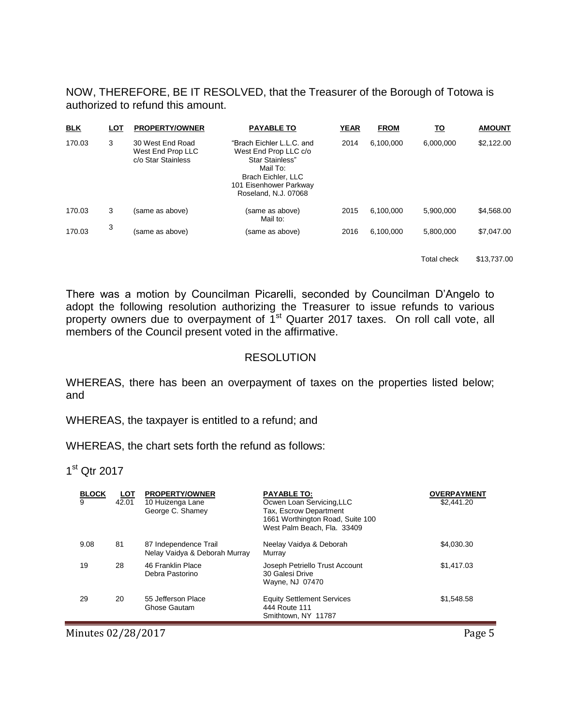NOW, THEREFORE, BE IT RESOLVED, that the Treasurer of the Borough of Totowa is authorized to refund this amount.

| <b>BLK</b> | <u>LOT</u> | <b>PROPERTY/OWNER</b>                                       | <b>PAYABLE TO</b>                                                                                                                                         | <b>YEAR</b> | <b>FROM</b> | <u> TO</u> | <b>AMOUNT</b> |
|------------|------------|-------------------------------------------------------------|-----------------------------------------------------------------------------------------------------------------------------------------------------------|-------------|-------------|------------|---------------|
| 170.03     | 3          | 30 West End Road<br>West End Prop LLC<br>c/o Star Stainless | "Brach Eichler L.L.C. and<br>West End Prop LLC c/o<br>Star Stainless"<br>Mail To:<br>Brach Eichler, LLC<br>101 Eisenhower Parkway<br>Roseland, N.J. 07068 | 2014        | 6.100.000   | 6,000,000  | \$2,122.00    |
| 170.03     | 3          | (same as above)                                             | (same as above)<br>Mail to:                                                                                                                               | 2015        | 6.100.000   | 5.900.000  | \$4,568.00    |
| 170.03     | 3          | (same as above)                                             | (same as above)                                                                                                                                           | 2016        | 6.100.000   | 5.800.000  | \$7,047.00    |

Total check \$13,737.00

There was a motion by Councilman Picarelli, seconded by Councilman D'Angelo to adopt the following resolution authorizing the Treasurer to issue refunds to various property owners due to overpayment of 1<sup>st</sup> Quarter 2017 taxes. On roll call vote, all members of the Council present voted in the affirmative.

#### RESOLUTION

WHEREAS, there has been an overpayment of taxes on the properties listed below; and

WHEREAS, the taxpayer is entitled to a refund; and

WHEREAS, the chart sets forth the refund as follows:

1<sup>st</sup> Qtr 2017

| <b>BLOCK</b><br>9 | <u>LOT</u><br>42.01 | <b>PROPERTY/OWNER</b><br>10 Huizenga Lane<br>George C. Shamey | <b>PAYABLE TO:</b><br>Ocwen Loan Servicing, LLC<br>Tax, Escrow Department<br>1661 Worthington Road, Suite 100<br>West Palm Beach, Fla. 33409 | <b>OVERPAYMENT</b><br>\$2,441.20 |
|-------------------|---------------------|---------------------------------------------------------------|----------------------------------------------------------------------------------------------------------------------------------------------|----------------------------------|
| 9.08              | 81                  | 87 Independence Trail<br>Nelay Vaidya & Deborah Murray        | Neelay Vaidya & Deborah<br>Murray                                                                                                            | \$4,030,30                       |
| 19                | 28                  | 46 Franklin Place<br>Debra Pastorino                          | Joseph Petriello Trust Account<br>30 Galesi Drive<br>Wayne, NJ 07470                                                                         | \$1,417.03                       |
| 29                | 20                  | 55 Jefferson Place<br>Ghose Gautam                            | <b>Equity Settlement Services</b><br>444 Route 111<br>Smithtown, NY 11787                                                                    | \$1.548.58                       |

Minutes 02/28/2017 Page 5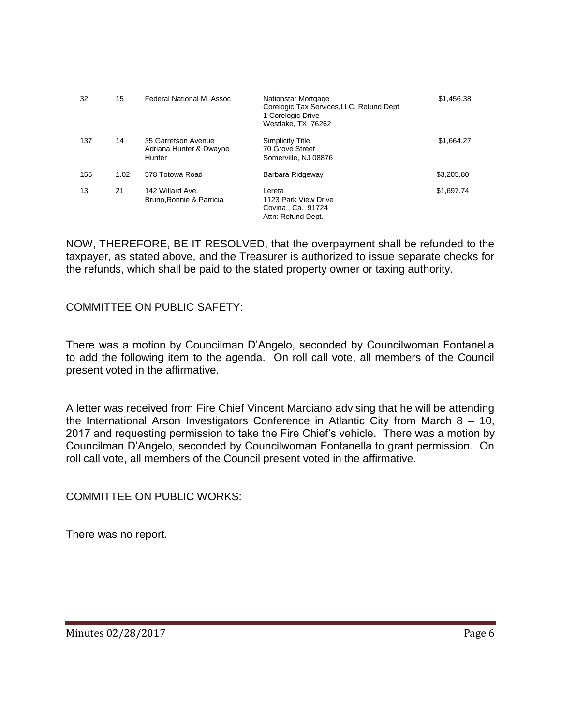| 32  | 15   | Federal National M Assoc                                 | Nationstar Mortgage<br>Corelogic Tax Services, LLC, Refund Dept<br>1 Corelogic Drive<br>Westlake, TX 76262 | \$1,456.38 |
|-----|------|----------------------------------------------------------|------------------------------------------------------------------------------------------------------------|------------|
| 137 | 14   | 35 Garretson Avenue<br>Adriana Hunter & Dwayne<br>Hunter | <b>Simplicity Title</b><br>70 Grove Street<br>Somerville, NJ 08876                                         | \$1,664.27 |
| 155 | 1.02 | 578 Totowa Road                                          | Barbara Ridgeway                                                                                           | \$3,205.80 |
| 13  | 21   | 142 Willard Ave.<br>Bruno, Ronnie & Parricia             | Lereta<br>1123 Park View Drive<br>Covina, Ca. 91724<br>Attn: Refund Dept.                                  | \$1,697.74 |

NOW, THEREFORE, BE IT RESOLVED, that the overpayment shall be refunded to the taxpayer, as stated above, and the Treasurer is authorized to issue separate checks for the refunds, which shall be paid to the stated property owner or taxing authority.

COMMITTEE ON PUBLIC SAFETY:

There was a motion by Councilman D'Angelo, seconded by Councilwoman Fontanella to add the following item to the agenda. On roll call vote, all members of the Council present voted in the affirmative.

A letter was received from Fire Chief Vincent Marciano advising that he will be attending the International Arson Investigators Conference in Atlantic City from March 8 – 10, 2017 and requesting permission to take the Fire Chief's vehicle. There was a motion by Councilman D'Angelo, seconded by Councilwoman Fontanella to grant permission. On roll call vote, all members of the Council present voted in the affirmative.

COMMITTEE ON PUBLIC WORKS:

There was no report.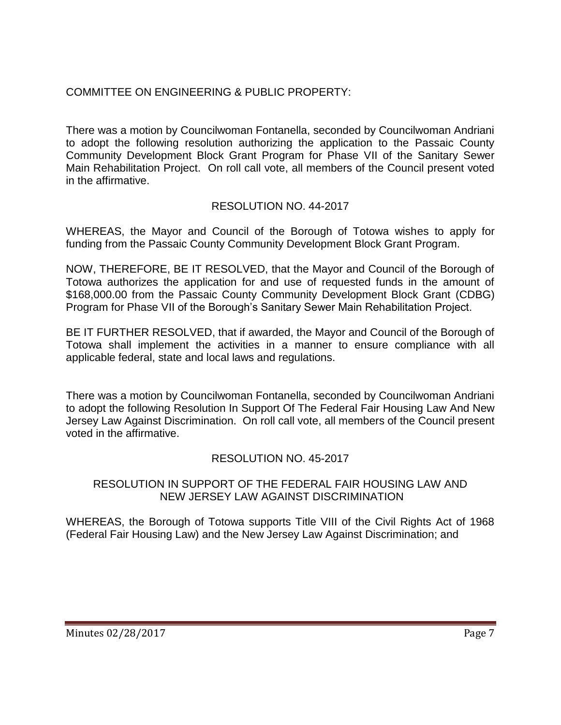## COMMITTEE ON ENGINEERING & PUBLIC PROPERTY:

There was a motion by Councilwoman Fontanella, seconded by Councilwoman Andriani to adopt the following resolution authorizing the application to the Passaic County Community Development Block Grant Program for Phase VII of the Sanitary Sewer Main Rehabilitation Project. On roll call vote, all members of the Council present voted in the affirmative.

## RESOLUTION NO. 44-2017

WHEREAS, the Mayor and Council of the Borough of Totowa wishes to apply for funding from the Passaic County Community Development Block Grant Program.

NOW, THEREFORE, BE IT RESOLVED, that the Mayor and Council of the Borough of Totowa authorizes the application for and use of requested funds in the amount of \$168,000.00 from the Passaic County Community Development Block Grant (CDBG) Program for Phase VII of the Borough's Sanitary Sewer Main Rehabilitation Project.

BE IT FURTHER RESOLVED, that if awarded, the Mayor and Council of the Borough of Totowa shall implement the activities in a manner to ensure compliance with all applicable federal, state and local laws and regulations.

There was a motion by Councilwoman Fontanella, seconded by Councilwoman Andriani to adopt the following Resolution In Support Of The Federal Fair Housing Law And New Jersey Law Against Discrimination. On roll call vote, all members of the Council present voted in the affirmative.

## RESOLUTION NO. 45-2017

### RESOLUTION IN SUPPORT OF THE FEDERAL FAIR HOUSING LAW AND NEW JERSEY LAW AGAINST DISCRIMINATION

WHEREAS, the Borough of Totowa supports Title VIII of the Civil Rights Act of 1968 (Federal Fair Housing Law) and the New Jersey Law Against Discrimination; and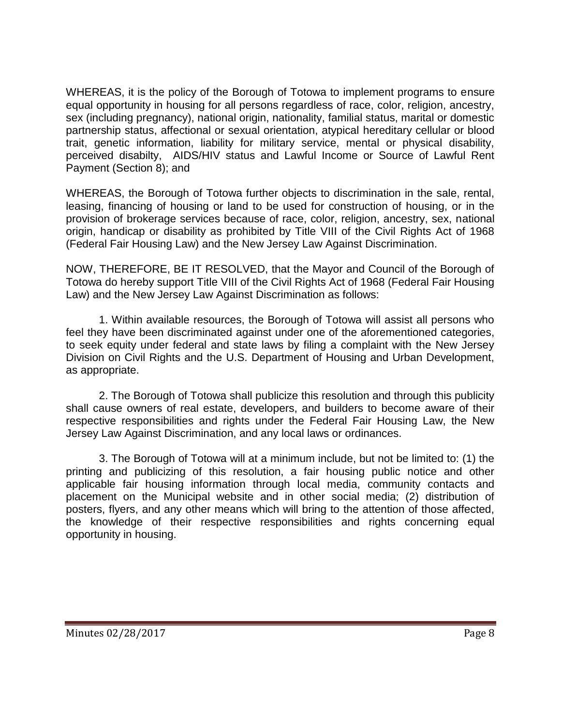WHEREAS, it is the policy of the Borough of Totowa to implement programs to ensure equal opportunity in housing for all persons regardless of race, color, religion, ancestry, sex (including pregnancy), national origin, nationality, familial status, marital or domestic partnership status, affectional or sexual orientation, atypical hereditary cellular or blood trait, genetic information, liability for military service, mental or physical disability, perceived disabilty, AIDS/HIV status and Lawful Income or Source of Lawful Rent Payment (Section 8); and

WHEREAS, the Borough of Totowa further objects to discrimination in the sale, rental, leasing, financing of housing or land to be used for construction of housing, or in the provision of brokerage services because of race, color, religion, ancestry, sex, national origin, handicap or disability as prohibited by Title VIII of the Civil Rights Act of 1968 (Federal Fair Housing Law) and the New Jersey Law Against Discrimination.

NOW, THEREFORE, BE IT RESOLVED, that the Mayor and Council of the Borough of Totowa do hereby support Title VIII of the Civil Rights Act of 1968 (Federal Fair Housing Law) and the New Jersey Law Against Discrimination as follows:

1. Within available resources, the Borough of Totowa will assist all persons who feel they have been discriminated against under one of the aforementioned categories, to seek equity under federal and state laws by filing a complaint with the New Jersey Division on Civil Rights and the U.S. Department of Housing and Urban Development, as appropriate.

2. The Borough of Totowa shall publicize this resolution and through this publicity shall cause owners of real estate, developers, and builders to become aware of their respective responsibilities and rights under the Federal Fair Housing Law, the New Jersey Law Against Discrimination, and any local laws or ordinances.

3. The Borough of Totowa will at a minimum include, but not be limited to: (1) the printing and publicizing of this resolution, a fair housing public notice and other applicable fair housing information through local media, community contacts and placement on the Municipal website and in other social media; (2) distribution of posters, flyers, and any other means which will bring to the attention of those affected, the knowledge of their respective responsibilities and rights concerning equal opportunity in housing.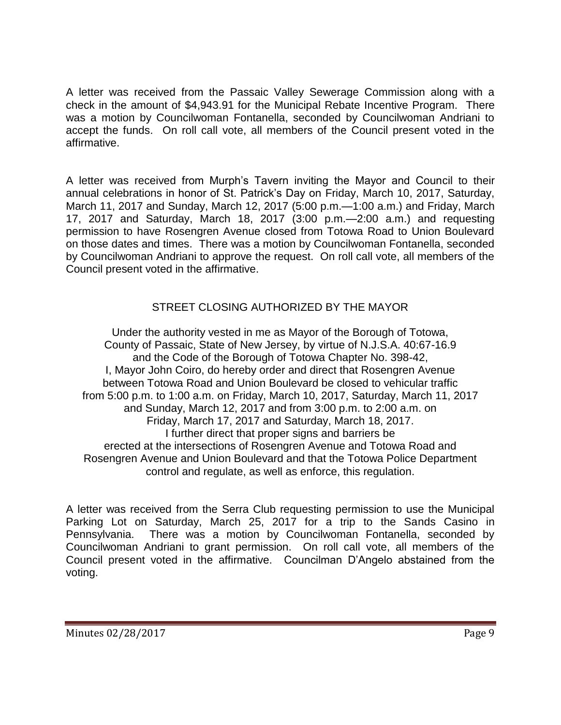A letter was received from the Passaic Valley Sewerage Commission along with a check in the amount of \$4,943.91 for the Municipal Rebate Incentive Program. There was a motion by Councilwoman Fontanella, seconded by Councilwoman Andriani to accept the funds. On roll call vote, all members of the Council present voted in the affirmative.

A letter was received from Murph's Tavern inviting the Mayor and Council to their annual celebrations in honor of St. Patrick's Day on Friday, March 10, 2017, Saturday, March 11, 2017 and Sunday, March 12, 2017 (5:00 p.m.—1:00 a.m.) and Friday, March 17, 2017 and Saturday, March 18, 2017 (3:00 p.m.—2:00 a.m.) and requesting permission to have Rosengren Avenue closed from Totowa Road to Union Boulevard on those dates and times. There was a motion by Councilwoman Fontanella, seconded by Councilwoman Andriani to approve the request. On roll call vote, all members of the Council present voted in the affirmative.

# STREET CLOSING AUTHORIZED BY THE MAYOR

Under the authority vested in me as Mayor of the Borough of Totowa, County of Passaic, State of New Jersey, by virtue of N.J.S.A. 40:67-16.9 and the Code of the Borough of Totowa Chapter No. 398-42, I, Mayor John Coiro, do hereby order and direct that Rosengren Avenue between Totowa Road and Union Boulevard be closed to vehicular traffic from 5:00 p.m. to 1:00 a.m. on Friday, March 10, 2017, Saturday, March 11, 2017 and Sunday, March 12, 2017 and from 3:00 p.m. to 2:00 a.m. on Friday, March 17, 2017 and Saturday, March 18, 2017. I further direct that proper signs and barriers be erected at the intersections of Rosengren Avenue and Totowa Road and Rosengren Avenue and Union Boulevard and that the Totowa Police Department control and regulate, as well as enforce, this regulation.

A letter was received from the Serra Club requesting permission to use the Municipal Parking Lot on Saturday, March 25, 2017 for a trip to the Sands Casino in Pennsylvania. There was a motion by Councilwoman Fontanella, seconded by Councilwoman Andriani to grant permission. On roll call vote, all members of the Council present voted in the affirmative. Councilman D'Angelo abstained from the voting.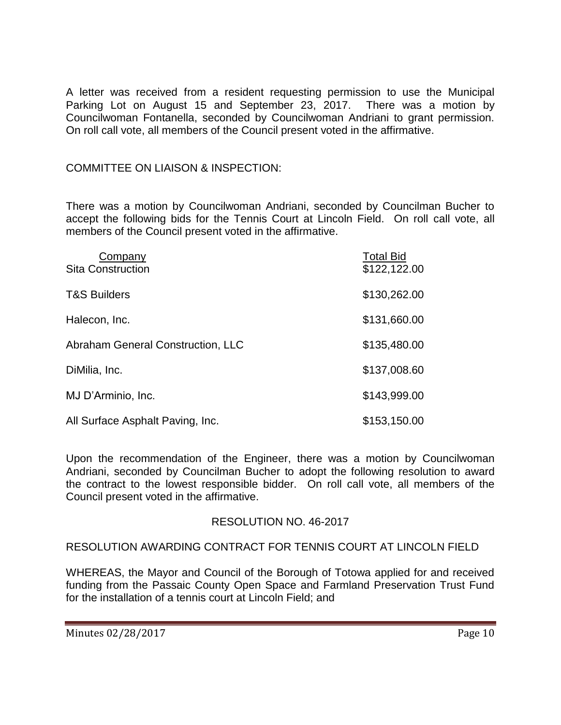A letter was received from a resident requesting permission to use the Municipal Parking Lot on August 15 and September 23, 2017. There was a motion by Councilwoman Fontanella, seconded by Councilwoman Andriani to grant permission. On roll call vote, all members of the Council present voted in the affirmative.

### COMMITTEE ON LIAISON & INSPECTION:

There was a motion by Councilwoman Andriani, seconded by Councilman Bucher to accept the following bids for the Tennis Court at Lincoln Field. On roll call vote, all members of the Council present voted in the affirmative.

| Company<br><b>Sita Construction</b> | <b>Total Bid</b><br>\$122,122.00 |
|-------------------------------------|----------------------------------|
| <b>T&amp;S Builders</b>             | \$130,262.00                     |
| Halecon, Inc.                       | \$131,660.00                     |
| Abraham General Construction, LLC   | \$135,480.00                     |
| DiMilia, Inc.                       | \$137,008.60                     |
| MJ D'Arminio, Inc.                  | \$143,999.00                     |
| All Surface Asphalt Paving, Inc.    | \$153,150.00                     |

Upon the recommendation of the Engineer, there was a motion by Councilwoman Andriani, seconded by Councilman Bucher to adopt the following resolution to award the contract to the lowest responsible bidder. On roll call vote, all members of the Council present voted in the affirmative.

## RESOLUTION NO. 46-2017

RESOLUTION AWARDING CONTRACT FOR TENNIS COURT AT LINCOLN FIELD

WHEREAS, the Mayor and Council of the Borough of Totowa applied for and received funding from the Passaic County Open Space and Farmland Preservation Trust Fund for the installation of a tennis court at Lincoln Field; and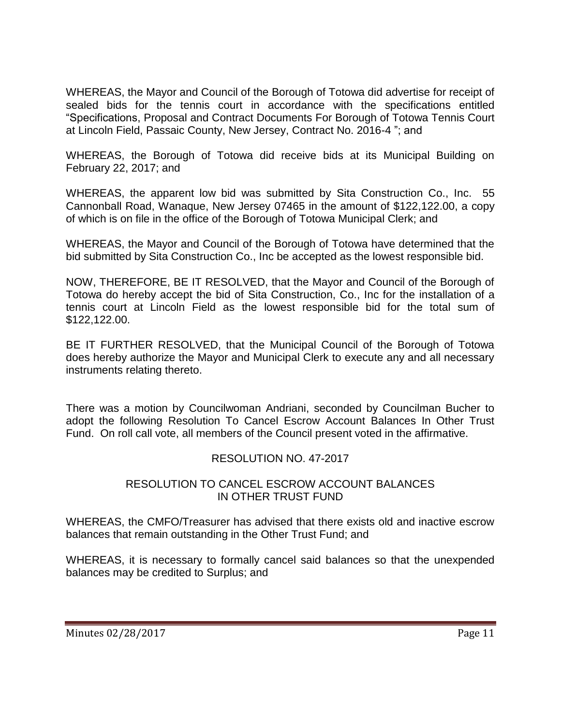WHEREAS, the Mayor and Council of the Borough of Totowa did advertise for receipt of sealed bids for the tennis court in accordance with the specifications entitled "Specifications, Proposal and Contract Documents For Borough of Totowa Tennis Court at Lincoln Field, Passaic County, New Jersey, Contract No. 2016-4 "; and

WHEREAS, the Borough of Totowa did receive bids at its Municipal Building on February 22, 2017; and

WHEREAS, the apparent low bid was submitted by Sita Construction Co., Inc. 55 Cannonball Road, Wanaque, New Jersey 07465 in the amount of \$122,122.00, a copy of which is on file in the office of the Borough of Totowa Municipal Clerk; and

WHEREAS, the Mayor and Council of the Borough of Totowa have determined that the bid submitted by Sita Construction Co., Inc be accepted as the lowest responsible bid.

NOW, THEREFORE, BE IT RESOLVED, that the Mayor and Council of the Borough of Totowa do hereby accept the bid of Sita Construction, Co., Inc for the installation of a tennis court at Lincoln Field as the lowest responsible bid for the total sum of \$122,122.00.

BE IT FURTHER RESOLVED, that the Municipal Council of the Borough of Totowa does hereby authorize the Mayor and Municipal Clerk to execute any and all necessary instruments relating thereto.

There was a motion by Councilwoman Andriani, seconded by Councilman Bucher to adopt the following Resolution To Cancel Escrow Account Balances In Other Trust Fund. On roll call vote, all members of the Council present voted in the affirmative.

## RESOLUTION NO. 47-2017

### RESOLUTION TO CANCEL ESCROW ACCOUNT BALANCES IN OTHER TRUST FUND

WHEREAS, the CMFO/Treasurer has advised that there exists old and inactive escrow balances that remain outstanding in the Other Trust Fund; and

WHEREAS, it is necessary to formally cancel said balances so that the unexpended balances may be credited to Surplus; and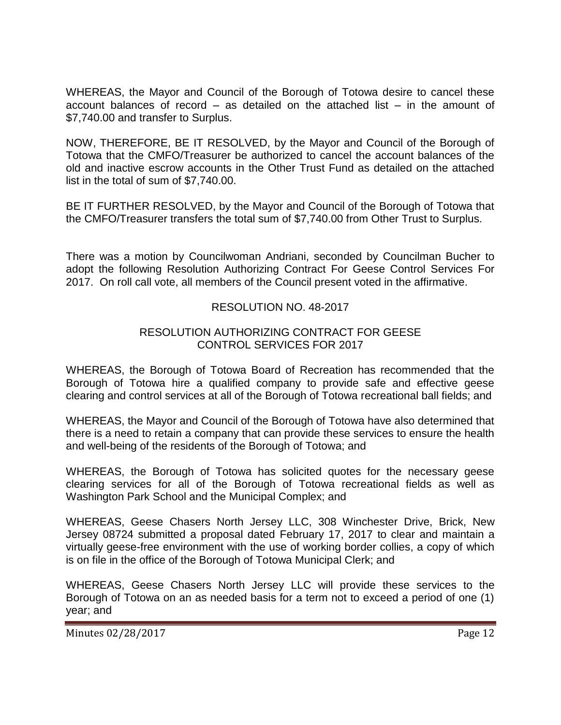WHEREAS, the Mayor and Council of the Borough of Totowa desire to cancel these account balances of record – as detailed on the attached list – in the amount of \$7,740.00 and transfer to Surplus.

NOW, THEREFORE, BE IT RESOLVED, by the Mayor and Council of the Borough of Totowa that the CMFO/Treasurer be authorized to cancel the account balances of the old and inactive escrow accounts in the Other Trust Fund as detailed on the attached list in the total of sum of \$7,740.00.

BE IT FURTHER RESOLVED, by the Mayor and Council of the Borough of Totowa that the CMFO/Treasurer transfers the total sum of \$7,740.00 from Other Trust to Surplus.

There was a motion by Councilwoman Andriani, seconded by Councilman Bucher to adopt the following Resolution Authorizing Contract For Geese Control Services For 2017. On roll call vote, all members of the Council present voted in the affirmative.

## RESOLUTION NO. 48-2017

#### RESOLUTION AUTHORIZING CONTRACT FOR GEESE CONTROL SERVICES FOR 2017

WHEREAS, the Borough of Totowa Board of Recreation has recommended that the Borough of Totowa hire a qualified company to provide safe and effective geese clearing and control services at all of the Borough of Totowa recreational ball fields; and

WHEREAS, the Mayor and Council of the Borough of Totowa have also determined that there is a need to retain a company that can provide these services to ensure the health and well-being of the residents of the Borough of Totowa; and

WHEREAS, the Borough of Totowa has solicited quotes for the necessary geese clearing services for all of the Borough of Totowa recreational fields as well as Washington Park School and the Municipal Complex; and

WHEREAS, Geese Chasers North Jersey LLC, 308 Winchester Drive, Brick, New Jersey 08724 submitted a proposal dated February 17, 2017 to clear and maintain a virtually geese-free environment with the use of working border collies, a copy of which is on file in the office of the Borough of Totowa Municipal Clerk; and

WHEREAS, Geese Chasers North Jersey LLC will provide these services to the Borough of Totowa on an as needed basis for a term not to exceed a period of one (1) year; and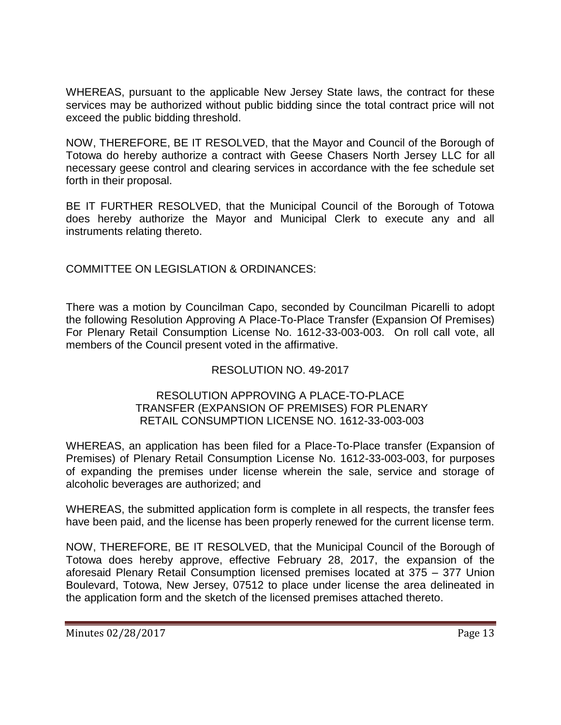WHEREAS, pursuant to the applicable New Jersey State laws, the contract for these services may be authorized without public bidding since the total contract price will not exceed the public bidding threshold.

NOW, THEREFORE, BE IT RESOLVED, that the Mayor and Council of the Borough of Totowa do hereby authorize a contract with Geese Chasers North Jersey LLC for all necessary geese control and clearing services in accordance with the fee schedule set forth in their proposal.

BE IT FURTHER RESOLVED, that the Municipal Council of the Borough of Totowa does hereby authorize the Mayor and Municipal Clerk to execute any and all instruments relating thereto.

COMMITTEE ON LEGISLATION & ORDINANCES:

There was a motion by Councilman Capo, seconded by Councilman Picarelli to adopt the following Resolution Approving A Place-To-Place Transfer (Expansion Of Premises) For Plenary Retail Consumption License No. 1612-33-003-003. On roll call vote, all members of the Council present voted in the affirmative.

## RESOLUTION NO. 49-2017

#### RESOLUTION APPROVING A PLACE-TO-PLACE TRANSFER (EXPANSION OF PREMISES) FOR PLENARY RETAIL CONSUMPTION LICENSE NO. 1612-33-003-003

WHEREAS, an application has been filed for a Place-To-Place transfer (Expansion of Premises) of Plenary Retail Consumption License No. 1612-33-003-003, for purposes of expanding the premises under license wherein the sale, service and storage of alcoholic beverages are authorized; and

WHEREAS, the submitted application form is complete in all respects, the transfer fees have been paid, and the license has been properly renewed for the current license term.

NOW, THEREFORE, BE IT RESOLVED, that the Municipal Council of the Borough of Totowa does hereby approve, effective February 28, 2017, the expansion of the aforesaid Plenary Retail Consumption licensed premises located at 375 – 377 Union Boulevard, Totowa, New Jersey, 07512 to place under license the area delineated in the application form and the sketch of the licensed premises attached thereto.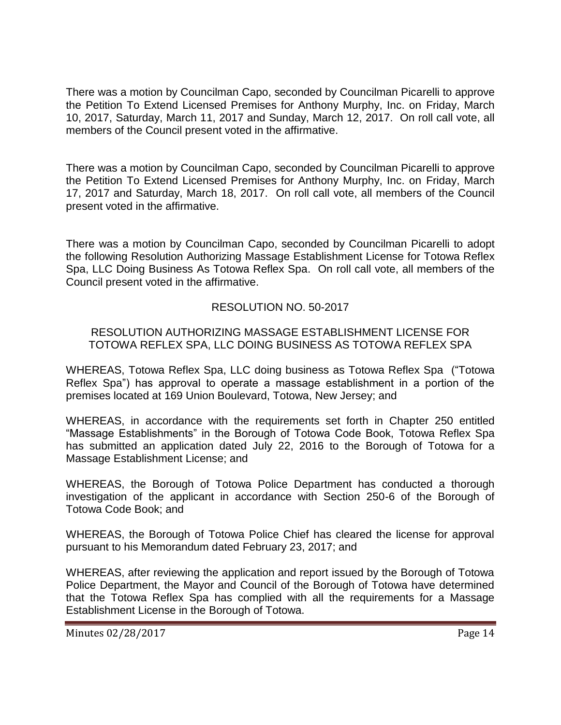There was a motion by Councilman Capo, seconded by Councilman Picarelli to approve the Petition To Extend Licensed Premises for Anthony Murphy, Inc. on Friday, March 10, 2017, Saturday, March 11, 2017 and Sunday, March 12, 2017. On roll call vote, all members of the Council present voted in the affirmative.

There was a motion by Councilman Capo, seconded by Councilman Picarelli to approve the Petition To Extend Licensed Premises for Anthony Murphy, Inc. on Friday, March 17, 2017 and Saturday, March 18, 2017. On roll call vote, all members of the Council present voted in the affirmative.

There was a motion by Councilman Capo, seconded by Councilman Picarelli to adopt the following Resolution Authorizing Massage Establishment License for Totowa Reflex Spa, LLC Doing Business As Totowa Reflex Spa. On roll call vote, all members of the Council present voted in the affirmative.

## RESOLUTION NO. 50-2017

#### RESOLUTION AUTHORIZING MASSAGE ESTABLISHMENT LICENSE FOR TOTOWA REFLEX SPA, LLC DOING BUSINESS AS TOTOWA REFLEX SPA

WHEREAS, Totowa Reflex Spa, LLC doing business as Totowa Reflex Spa ("Totowa Reflex Spa") has approval to operate a massage establishment in a portion of the premises located at 169 Union Boulevard, Totowa, New Jersey; and

WHEREAS, in accordance with the requirements set forth in Chapter 250 entitled "Massage Establishments" in the Borough of Totowa Code Book, Totowa Reflex Spa has submitted an application dated July 22, 2016 to the Borough of Totowa for a Massage Establishment License; and

WHEREAS, the Borough of Totowa Police Department has conducted a thorough investigation of the applicant in accordance with Section 250-6 of the Borough of Totowa Code Book; and

WHEREAS, the Borough of Totowa Police Chief has cleared the license for approval pursuant to his Memorandum dated February 23, 2017; and

WHEREAS, after reviewing the application and report issued by the Borough of Totowa Police Department, the Mayor and Council of the Borough of Totowa have determined that the Totowa Reflex Spa has complied with all the requirements for a Massage Establishment License in the Borough of Totowa.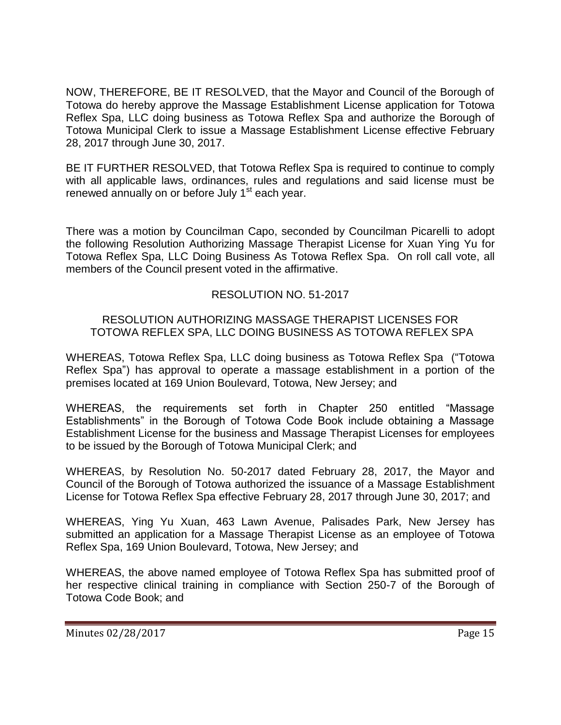NOW, THEREFORE, BE IT RESOLVED, that the Mayor and Council of the Borough of Totowa do hereby approve the Massage Establishment License application for Totowa Reflex Spa, LLC doing business as Totowa Reflex Spa and authorize the Borough of Totowa Municipal Clerk to issue a Massage Establishment License effective February 28, 2017 through June 30, 2017.

BE IT FURTHER RESOLVED, that Totowa Reflex Spa is required to continue to comply with all applicable laws, ordinances, rules and regulations and said license must be renewed annually on or before July 1<sup>st</sup> each year.

There was a motion by Councilman Capo, seconded by Councilman Picarelli to adopt the following Resolution Authorizing Massage Therapist License for Xuan Ying Yu for Totowa Reflex Spa, LLC Doing Business As Totowa Reflex Spa. On roll call vote, all members of the Council present voted in the affirmative.

## RESOLUTION NO. 51-2017

## RESOLUTION AUTHORIZING MASSAGE THERAPIST LICENSES FOR TOTOWA REFLEX SPA, LLC DOING BUSINESS AS TOTOWA REFLEX SPA

WHEREAS, Totowa Reflex Spa, LLC doing business as Totowa Reflex Spa ("Totowa Reflex Spa") has approval to operate a massage establishment in a portion of the premises located at 169 Union Boulevard, Totowa, New Jersey; and

WHEREAS, the requirements set forth in Chapter 250 entitled "Massage Establishments" in the Borough of Totowa Code Book include obtaining a Massage Establishment License for the business and Massage Therapist Licenses for employees to be issued by the Borough of Totowa Municipal Clerk; and

WHEREAS, by Resolution No. 50-2017 dated February 28, 2017, the Mayor and Council of the Borough of Totowa authorized the issuance of a Massage Establishment License for Totowa Reflex Spa effective February 28, 2017 through June 30, 2017; and

WHEREAS, Ying Yu Xuan, 463 Lawn Avenue, Palisades Park, New Jersey has submitted an application for a Massage Therapist License as an employee of Totowa Reflex Spa, 169 Union Boulevard, Totowa, New Jersey; and

WHEREAS, the above named employee of Totowa Reflex Spa has submitted proof of her respective clinical training in compliance with Section 250-7 of the Borough of Totowa Code Book; and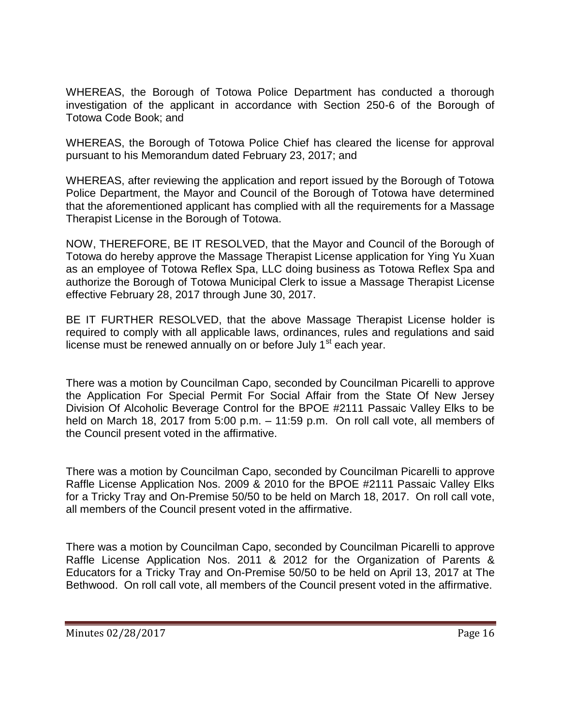WHEREAS, the Borough of Totowa Police Department has conducted a thorough investigation of the applicant in accordance with Section 250-6 of the Borough of Totowa Code Book; and

WHEREAS, the Borough of Totowa Police Chief has cleared the license for approval pursuant to his Memorandum dated February 23, 2017; and

WHEREAS, after reviewing the application and report issued by the Borough of Totowa Police Department, the Mayor and Council of the Borough of Totowa have determined that the aforementioned applicant has complied with all the requirements for a Massage Therapist License in the Borough of Totowa.

NOW, THEREFORE, BE IT RESOLVED, that the Mayor and Council of the Borough of Totowa do hereby approve the Massage Therapist License application for Ying Yu Xuan as an employee of Totowa Reflex Spa, LLC doing business as Totowa Reflex Spa and authorize the Borough of Totowa Municipal Clerk to issue a Massage Therapist License effective February 28, 2017 through June 30, 2017.

BE IT FURTHER RESOLVED, that the above Massage Therapist License holder is required to comply with all applicable laws, ordinances, rules and regulations and said license must be renewed annually on or before July  $1<sup>st</sup>$  each year.

There was a motion by Councilman Capo, seconded by Councilman Picarelli to approve the Application For Special Permit For Social Affair from the State Of New Jersey Division Of Alcoholic Beverage Control for the BPOE #2111 Passaic Valley Elks to be held on March 18, 2017 from 5:00 p.m. – 11:59 p.m. On roll call vote, all members of the Council present voted in the affirmative.

There was a motion by Councilman Capo, seconded by Councilman Picarelli to approve Raffle License Application Nos. 2009 & 2010 for the BPOE #2111 Passaic Valley Elks for a Tricky Tray and On-Premise 50/50 to be held on March 18, 2017. On roll call vote, all members of the Council present voted in the affirmative.

There was a motion by Councilman Capo, seconded by Councilman Picarelli to approve Raffle License Application Nos. 2011 & 2012 for the Organization of Parents & Educators for a Tricky Tray and On-Premise 50/50 to be held on April 13, 2017 at The Bethwood. On roll call vote, all members of the Council present voted in the affirmative.